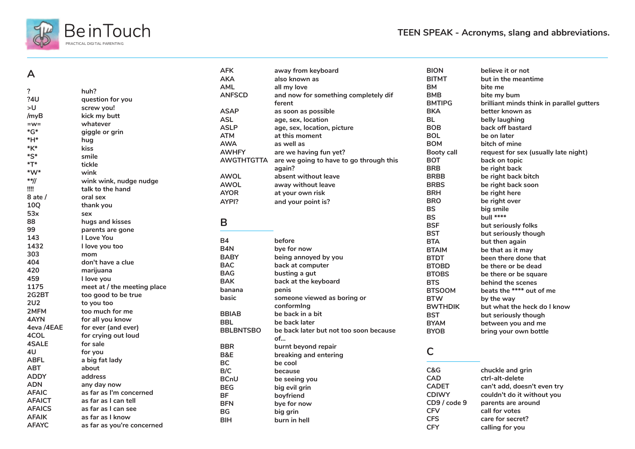

| А             |                             |
|---------------|-----------------------------|
| ?             | huh?                        |
| <b>?4U</b>    | question for you            |
| >U            | screw you!                  |
| /myB          | kick my butt                |
| $=w=$         | whatever                    |
| $*G*$         | giggle or grin              |
| *H*           | hug                         |
| *K*           | kiss                        |
| $*S*$         | smile                       |
| $*T*$         | tickle                      |
| $*W*$         | wink                        |
| $*$ *//       | wink wink, nudge nudge      |
| Ш             | talk to the hand            |
| 8 ate /       | oral sex                    |
| 10Q           | thank you                   |
| 53x           | sex                         |
| 88            | hugs and kisses             |
| 99            | parents are gone            |
| 143           | I Love You                  |
| 1432          | I love you too              |
| 303           | mom                         |
| 404           | don't have a clue           |
| 420           | marijuana                   |
| 459           | I love you                  |
| 1175          | meet at / the meeting place |
| 2G2BT         | too good to be true         |
| <b>2U2</b>    | to you too                  |
| 2MFM          | too much for me             |
| 4AYN          | for all you know            |
| 4eva /4EAE    | for ever (and ever)         |
| 4COL          | for crying out loud         |
| <b>4SALE</b>  | for sale                    |
| 4U            | for you                     |
| <b>ABFL</b>   | a big fat lady              |
| ABT           | about                       |
| <b>ADDY</b>   | address                     |
| <b>ADN</b>    | any day now                 |
| <b>AFAIC</b>  | as far as I'm concerned     |
| <b>AFAICT</b> | as far as I can tell        |
| <b>AFAICS</b> | as far as I can see         |
| <b>AFAIK</b>  | as far as I know            |
| <b>AFAYC</b>  | as far as you're concerned  |

| AFK                 | away from keyboard                      |
|---------------------|-----------------------------------------|
| AKA                 | also known as                           |
| <b>AML</b>          | all my love                             |
| <b>ANFSCD</b>       | and now for something completely dif    |
|                     | ferent                                  |
| ASAP                | as soon as possible                     |
| <b>ASL</b>          | age, sex, location                      |
| <b>ASLP</b>         | age, sex, location, picture             |
| ATM                 | at this moment                          |
| <b>AWA</b>          | as well as                              |
| <b>AWHFY</b>        | are we having fun yet?                  |
| AWGTHTGTTA          | are we going to have to go through this |
|                     | again?                                  |
| <b>AWOL</b>         | absent without leave                    |
| AWOL<br><b>AYOR</b> | away without leave                      |
|                     | at your own risk                        |
| AYPI?               | and your point is?                      |
|                     |                                         |
| В                   |                                         |
| Β4                  | before                                  |
| B4N                 | bye for now                             |
| <b>BABY</b>         | being annoyed by you                    |
| BAC                 | back at computer                        |
| <b>BAG</b>          | busting a gut                           |
| BAK                 | back at the keyboard                    |
| banana              | penis                                   |
| basic               | someone viewed as boring or             |
|                     | conforming                              |
| <b>BBIAB</b>        | be back in a bit                        |
| <b>BBL</b>          | be back later                           |
| <b>BBLBNTSBO</b>    | be back later but not too soon because  |
|                     | of                                      |
| <b>BBR</b>          | burnt beyond repair                     |
| B&E                 | breaking and entering                   |
| вc                  | be cool                                 |
| B/C                 | because                                 |
| <b>BCnU</b>         | be seeing you                           |
| <b>BEG</b>          | big evil grin                           |
| BF                  |                                         |
|                     | boyfriend                               |

**BFN** bye for now<br> **BG** big grin

**BIH burn in hell** 

**big grin** 

| <b>BION</b>       | believe it or not                         |
|-------------------|-------------------------------------------|
| <b>BITMT</b>      | but in the meantime                       |
| <b>BM</b>         | bite me                                   |
| <b>BMB</b>        | bite my bum                               |
| <b>BMTIPG</b>     | brilliant minds think in parallel gutters |
| <b>BKA</b>        | better known as                           |
| BL                | belly laughing                            |
| <b>BOB</b>        | back off bastard                          |
| <b>BOL</b>        | be on later                               |
| <b>BOM</b>        | bitch of mine                             |
| Booty call        | request for sex (usually late night)      |
| <b>BOT</b>        | back on topic                             |
| <b>BRB</b>        | be right back                             |
| <b>BRBB</b>       | be right back bitch                       |
| <b>BRBS</b>       | be right back soon                        |
| <b>BRH</b>        | be right here                             |
| <b>BRO</b>        | be right over                             |
| <b>BS</b>         | big smile                                 |
| <b>BS</b>         | bull ****                                 |
| <b>BSF</b>        | but seriously folks                       |
| <b>BST</b>        | but seriously though                      |
| <b>BTA</b>        | but then again                            |
| <b>BTAIM</b>      | be that as it may                         |
| <b>BTDT</b>       | been there done that                      |
| <b>BTOBD</b>      | be there or be dead                       |
| <b>BTOBS</b>      | be there or be square                     |
| <b>BTS</b>        | behind the scenes                         |
| <b>BTSOOM</b>     | beats the **** out of me                  |
| <b>BTW</b>        | by the way                                |
| <b>BWTHDIK</b>    | but what the heck do I know               |
| <b>BST</b>        | but seriously though                      |
| <b>BYAM</b>       | between you and me                        |
| <b>BYOB</b>       | bring your own bottle                     |
| C                 |                                           |
|                   |                                           |
| C&G               | chuckle and grin                          |
| <b>CAD</b>        | ctrl-alt-delete                           |
| <b>CADET</b>      | can't add, doesn't even try               |
| <b>CDIWY</b>      | couldn't do it without you                |
| CD9 / code 9      | parents are around                        |
| CFV<br><b>CFS</b> | call for votes<br>care for secret?        |
|                   |                                           |

**CFS care for secret?** 

calling for you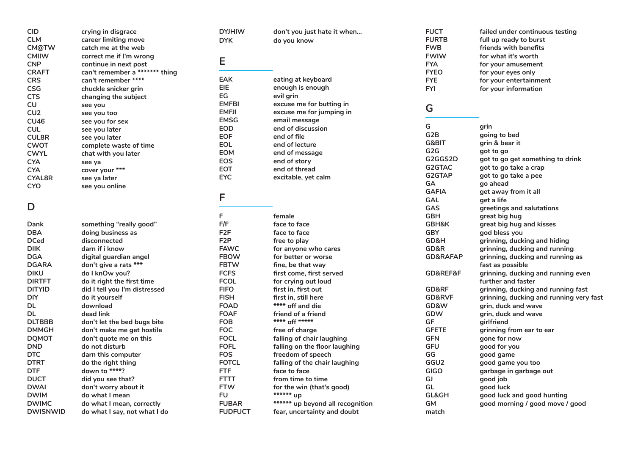| CID             | crying in disgrace              |
|-----------------|---------------------------------|
| <b>CLM</b>      | career limiting move            |
| CM@TW           | catch me at the web             |
| <b>CMIIW</b>    | correct me if I'm wrong         |
| <b>CNP</b>      | continue in next post           |
| <b>CRAFT</b>    | can't remember a ******** thing |
| <b>CRS</b>      | can't remember ****             |
| <b>CSG</b>      | chuckle snicker grin            |
| <b>CTS</b>      | changing the subject            |
| CU              | see you                         |
| CU2             | see you too                     |
| <b>CU46</b>     | see you for sex                 |
| <b>CUL</b>      | see you later                   |
| <b>CUL8R</b>    | see you later                   |
| <b>CWOT</b>     | complete waste of time          |
| <b>CWYL</b>     | chat with you later             |
| <b>CYA</b>      | see ya                          |
| <b>CYA</b>      | cover your ***                  |
| <b>CYAL8R</b>   | see ya later                    |
| <b>CYO</b>      | see you online                  |
| D               |                                 |
| Dank            | something "really good"         |
| <b>DBA</b>      | doing business as               |
| <b>DCed</b>     | disconnected                    |
| <b>DIIK</b>     | darn if i know                  |
| DGA             | digital guardian angel          |
| <b>DGARA</b>    | don't give a rats ***           |
| <b>DIKU</b>     | do I knOw you?                  |
| <b>DIRTFT</b>   | do it right the first time      |
| <b>DITYID</b>   | did I tell you I'm distressed   |
| <b>DIY</b>      | do it yourself                  |
| DL              | download                        |
| DL              | dead link                       |
| <b>DLTBBB</b>   | don't let the bed bugs bite     |
| <b>DMMGH</b>    | don't make me get hostile       |
| <b>DQMOT</b>    | don't quote me on this          |
| <b>DND</b>      | do not disturb                  |
| <b>DTC</b>      | darn this computer              |
| <b>DTRT</b>     | do the right thing              |
| <b>DTF</b>      | down to ****?                   |
| DUCT            | did you see that?               |
| <b>DWAI</b>     | don't worry about it            |
| <b>DWIM</b>     | do what I mean                  |
| <b>DWIMC</b>    | do what I mean, correctly       |
| <b>DWISNWID</b> | do what I say, not what I do    |

| <b>DYJHIW</b> | don't you just hate it when |
|---------------|-----------------------------|
| <b>DYK</b>    | do you know                 |
| E             |                             |
| <b>EAK</b>    | eating at keyboard          |
| EIE           | enough is enough            |
| EG            | evil grin                   |
| <b>EMFBI</b>  | excuse me for butting in    |
| <b>EMFJI</b>  | excuse me for jumping in    |
| <b>EMSG</b>   | email message               |
| EOD           | end of discussion           |
| <b>EOF</b>    | end of file                 |
| EOL           | end of lecture              |
| <b>EOM</b>    | end of message              |
| <b>EOS</b>    | end of story                |
| <b>EOT</b>    | end of thread               |
| EYC           | excitable, yet calm         |
|               |                             |

**F**   $\overline{F}$ 

| F                | female                           |
|------------------|----------------------------------|
| F/F              | face to face                     |
| F <sub>2</sub> F | face to face                     |
| F <sub>2</sub> P | free to play                     |
| <b>FAWC</b>      | for anyone who cares             |
| <b>FBOW</b>      | for better or worse              |
| <b>FBTW</b>      | fine, be that way                |
| <b>FCFS</b>      | first come, first served         |
| <b>FCOL</b>      | for crying out loud              |
| <b>FIFO</b>      | first in, first out              |
| <b>FISH</b>      | first in, still here             |
| <b>FOAD</b>      | **** off and die                 |
| <b>FOAF</b>      | friend of a friend               |
| <b>FOB</b>       | **** off *****                   |
| <b>FOC</b>       | free of charge                   |
| <b>FOCL</b>      | falling of chair laughing        |
| <b>FOFL</b>      | falling on the floor laughing    |
| <b>FOS</b>       | freedom of speech                |
| <b>FOTCL</b>     | falling of the chair laughing    |
| <b>FTF</b>       | face to face                     |
| <b>FTTT</b>      | from time to time                |
| <b>FTW</b>       | for the win (that's good)        |
| FU               | ****** up                        |
| <b>FUBAR</b>     | ****** up beyond all recognition |
| <b>FUDFUCT</b>   | fear, uncertainty and doubt      |

| <b>FUCT</b><br><b>FURTB</b><br><b>FWB</b><br><b>FWIW</b><br>FYA<br><b>FYEO</b><br><b>FYE</b><br><b>FYI</b> | failed under continuous testing<br>full up ready to burst<br>friends with benefits<br>for what it's worth<br>for your amusement<br>for your eyes only<br>for your entertainment<br>for your information |
|------------------------------------------------------------------------------------------------------------|---------------------------------------------------------------------------------------------------------------------------------------------------------------------------------------------------------|
| G                                                                                                          |                                                                                                                                                                                                         |
| G                                                                                                          | grin                                                                                                                                                                                                    |
| G2B                                                                                                        | going to bed                                                                                                                                                                                            |
| G&BIT                                                                                                      | grin & bear it                                                                                                                                                                                          |
| G <sub>2</sub> G                                                                                           | got to go                                                                                                                                                                                               |
| G2GGS2D                                                                                                    | got to go get something to drink                                                                                                                                                                        |
| G2GTAC                                                                                                     | got to go take a crap                                                                                                                                                                                   |
| G2GTAP                                                                                                     | got to go take a pee                                                                                                                                                                                    |
| <b>GA</b>                                                                                                  | go ahead                                                                                                                                                                                                |
| <b>GAFIA</b>                                                                                               | get away from it all                                                                                                                                                                                    |
| GAL                                                                                                        | get a life                                                                                                                                                                                              |
| GAS                                                                                                        | greetings and salutations                                                                                                                                                                               |
| <b>GBH</b>                                                                                                 | great big hug                                                                                                                                                                                           |
| GBH&K                                                                                                      | great big hug and kisses                                                                                                                                                                                |
| GBY                                                                                                        | god bless you                                                                                                                                                                                           |
| GD&H                                                                                                       | grinning, ducking and hiding                                                                                                                                                                            |
| GD&R                                                                                                       | grinning, ducking and running                                                                                                                                                                           |
| GD&RAFAP                                                                                                   | grinning, ducking and running as<br>fast as possible                                                                                                                                                    |
| GD&REF&F                                                                                                   | grinning, ducking and running even<br>further and faster                                                                                                                                                |
| GD&RF                                                                                                      | grinning, ducking and running fast                                                                                                                                                                      |
| GD&RVF                                                                                                     | grinning, ducking and running very fast                                                                                                                                                                 |
| GD&W                                                                                                       | grin, duck and wave                                                                                                                                                                                     |
| GDW                                                                                                        | grin, duck and wave                                                                                                                                                                                     |
| GF                                                                                                         | girlfriend                                                                                                                                                                                              |
| <b>GFETE</b>                                                                                               | grinning from ear to ear                                                                                                                                                                                |
| <b>GFN</b>                                                                                                 | gone for now                                                                                                                                                                                            |
| <b>GFU</b>                                                                                                 | good for you                                                                                                                                                                                            |
| GG                                                                                                         | good game                                                                                                                                                                                               |
| GGU2                                                                                                       | good game you too                                                                                                                                                                                       |
| <b>GIGO</b>                                                                                                | garbage in garbage out                                                                                                                                                                                  |
| GJ                                                                                                         | good job                                                                                                                                                                                                |
| GL                                                                                                         | good luck                                                                                                                                                                                               |
| GL&GH                                                                                                      | good luck and good hunting                                                                                                                                                                              |
| GМ                                                                                                         | good morning / good move / good                                                                                                                                                                         |
| match                                                                                                      |                                                                                                                                                                                                         |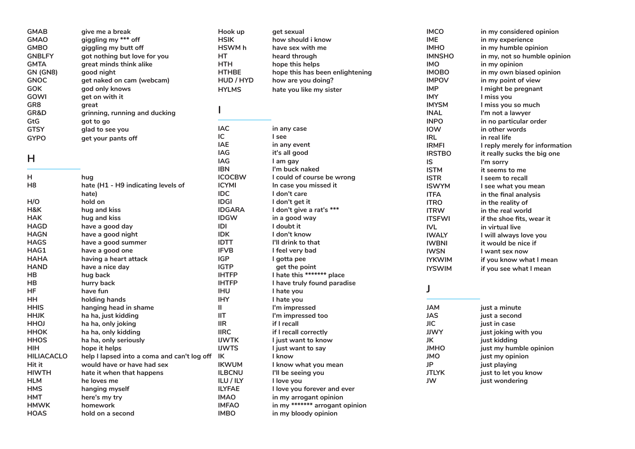| <b>GMAB</b><br><b>GMAO</b><br><b>GMBO</b><br><b>GNBLFY</b><br><b>GMTA</b><br>GN (GN8)<br><b>GNOC</b><br>GOK<br>GOWI<br>GR <sub>8</sub> | give me a break<br>giggling my *** off<br>giggling my butt off<br>got nothing but love for you<br>great minds think alike<br>good night<br>get naked on cam (webcam)<br>god only knows<br>get on with it<br>great | Hook up<br><b>HSIK</b><br><b>HSWM</b><br>HТ<br>HTH<br><b>HTHBE</b><br>HUD/H<br><b>HYLMS</b> |
|----------------------------------------------------------------------------------------------------------------------------------------|-------------------------------------------------------------------------------------------------------------------------------------------------------------------------------------------------------------------|---------------------------------------------------------------------------------------------|
| GR&D                                                                                                                                   | grinning, running and ducking                                                                                                                                                                                     | I                                                                                           |
| GtG                                                                                                                                    | got to go                                                                                                                                                                                                         |                                                                                             |
| <b>GTSY</b>                                                                                                                            | glad to see you                                                                                                                                                                                                   | <b>IAC</b>                                                                                  |
| <b>GYPO</b>                                                                                                                            | get your pants off                                                                                                                                                                                                | IC<br><b>IAE</b>                                                                            |
|                                                                                                                                        |                                                                                                                                                                                                                   | IAG                                                                                         |
| н                                                                                                                                      |                                                                                                                                                                                                                   | <b>IAG</b>                                                                                  |
|                                                                                                                                        |                                                                                                                                                                                                                   | <b>IBN</b>                                                                                  |
| н                                                                                                                                      | hug                                                                                                                                                                                                               | <b>ICOCBW</b>                                                                               |
| H <sub>8</sub>                                                                                                                         | hate (H1 - H9 indicating levels of                                                                                                                                                                                | <b>ICYMI</b>                                                                                |
|                                                                                                                                        | hate)                                                                                                                                                                                                             | <b>IDC</b>                                                                                  |
| H/O                                                                                                                                    | hold on                                                                                                                                                                                                           | <b>IDGI</b>                                                                                 |
| H&K                                                                                                                                    | hug and kiss                                                                                                                                                                                                      | <b>IDGARA</b>                                                                               |
| <b>HAK</b>                                                                                                                             | hug and kiss                                                                                                                                                                                                      | <b>IDGW</b>                                                                                 |
| <b>HAGD</b>                                                                                                                            | have a good day                                                                                                                                                                                                   | IDI                                                                                         |
| <b>HAGN</b>                                                                                                                            | have a good night                                                                                                                                                                                                 | <b>IDK</b>                                                                                  |
| <b>HAGS</b>                                                                                                                            | have a good summer                                                                                                                                                                                                | <b>IDTT</b>                                                                                 |
| HAG1                                                                                                                                   | have a good one                                                                                                                                                                                                   | <b>IFVB</b>                                                                                 |
| <b>HAHA</b><br><b>HAND</b>                                                                                                             | having a heart attack                                                                                                                                                                                             | <b>IGP</b><br><b>IGTP</b>                                                                   |
| HВ                                                                                                                                     | have a nice day<br>hug back                                                                                                                                                                                       | <b>IHTFP</b>                                                                                |
| HB                                                                                                                                     | hurry back                                                                                                                                                                                                        | <b>IHTFP</b>                                                                                |
| HF                                                                                                                                     | have fun                                                                                                                                                                                                          | <b>IHU</b>                                                                                  |
| HН                                                                                                                                     | holding hands                                                                                                                                                                                                     | <b>IHY</b>                                                                                  |
| <b>HHIS</b>                                                                                                                            | hanging head in shame                                                                                                                                                                                             | Ш                                                                                           |
| <b>HHJK</b>                                                                                                                            | ha ha, just kidding                                                                                                                                                                                               | <b>IIT</b>                                                                                  |
| LOHH                                                                                                                                   | ha ha, only joking                                                                                                                                                                                                | <b>IIR</b>                                                                                  |
| <b>HHOK</b>                                                                                                                            | ha ha, only kidding                                                                                                                                                                                               | <b>IIRC</b>                                                                                 |
| <b>HHOS</b>                                                                                                                            | ha ha, only seriously                                                                                                                                                                                             | <b>IJWTK</b>                                                                                |
| <b>HIH</b>                                                                                                                             | hope it helps                                                                                                                                                                                                     | <b>IJWTS</b>                                                                                |
| <b>HILIACACLO</b>                                                                                                                      | help I lapsed into a coma and can't log off                                                                                                                                                                       | ΙK                                                                                          |
| Hit it                                                                                                                                 | would have or have had sex                                                                                                                                                                                        | <b>IKWUM</b>                                                                                |
| <b>HIWTH</b>                                                                                                                           | hate it when that happens                                                                                                                                                                                         | <b>ILBCNU</b>                                                                               |
| <b>HLM</b>                                                                                                                             | he loves me                                                                                                                                                                                                       | ILU / ILY                                                                                   |
| <b>HMS</b>                                                                                                                             | hanging myself                                                                                                                                                                                                    | <b>ILYFAE</b>                                                                               |
| <b>HMT</b><br><b>HMWK</b>                                                                                                              | here's my try<br>homework                                                                                                                                                                                         | <b>IMAO</b><br><b>IMFAO</b>                                                                 |
| <b>HOAS</b>                                                                                                                            | hold on a second                                                                                                                                                                                                  | <b>IMBO</b>                                                                                 |
|                                                                                                                                        |                                                                                                                                                                                                                   |                                                                                             |

| Hook up                                                        | get sexual                                                                                                         |
|----------------------------------------------------------------|--------------------------------------------------------------------------------------------------------------------|
| <b>HSIK</b>                                                    | how should i know                                                                                                  |
| <b>HSWM h</b>                                                  | have sex with me                                                                                                   |
| НT                                                             | heard through                                                                                                      |
| HTH                                                            | hope this helps                                                                                                    |
| <b>HTHBE</b>                                                   | hope this has been enlightening                                                                                    |
| HUD / HYD                                                      | how are you doing?                                                                                                 |
| <b>HYLMS</b>                                                   | hate you like my sister                                                                                            |
| ı                                                              |                                                                                                                    |
| IAC                                                            | in any case                                                                                                        |
| ıс                                                             | l see                                                                                                              |
| <b>IAE</b>                                                     | in any event                                                                                                       |
| <b>IAG</b>                                                     | it's all good                                                                                                      |
| IAG                                                            | I am gay                                                                                                           |
| <b>IBN</b>                                                     | I'm buck naked                                                                                                     |
| <b>ICOCBW</b>                                                  | I could of course be wrong                                                                                         |
| <b>ICYMI</b>                                                   | In case you missed it                                                                                              |
| IDC                                                            | I don't care                                                                                                       |
| <b>IDGI</b>                                                    | I don't get it                                                                                                     |
| <b>IDGARA</b>                                                  | I don't give a rat's ***                                                                                           |
| <b>IDGW</b>                                                    | in a good way                                                                                                      |
| IDI                                                            | I doubt it                                                                                                         |
| IDK<br><b>IDTT</b><br><b>IFVB</b><br><b>IGP</b><br><b>IGTP</b> | I don't know<br>I'll drink to that<br>I feel very bad<br>I gotta pee<br>get the point<br>I hate this ******* place |
| <b>IHTFP</b><br><b>IHTFP</b><br><b>IHU</b><br><b>IHY</b><br>Ш  | I have truly found paradise<br>I hate you<br>I hate you<br>I'm impressed                                           |
| IIT                                                            | I'm impressed too                                                                                                  |
| IIR                                                            | if I recall                                                                                                        |
| <b>IIRC</b>                                                    | if I recall correctly                                                                                              |
| <b>IJWTK</b>                                                   | I just want to know                                                                                                |
| <b>IJWTS</b>                                                   | I just want to say                                                                                                 |
| IΚ                                                             | I know                                                                                                             |
| <b>IKWUM</b>                                                   | I know what you mean                                                                                               |
| <b>ILBCNU</b>                                                  | I'll be seeing you                                                                                                 |
| ILU / ILY                                                      | I love you                                                                                                         |
| <b>ILYFAE</b>                                                  | I love you forever and ever                                                                                        |
| <b>IMAO</b>                                                    | in my arrogant opinion                                                                                             |
| <b>IMFAO</b>                                                   | in my ******** arrogant opinion                                                                                    |
| <b>IMBO</b>                                                    | in my bloody opinion                                                                                               |

| <b>IMCO</b>   | in my considered opinion       |
|---------------|--------------------------------|
| IME           | in my experience               |
| <b>IMHO</b>   | in my humble opinion           |
| <b>IMNSHO</b> | in my, not so humble opinion   |
| <b>IMO</b>    | in my opinion                  |
| <b>IMOBO</b>  | in my own biased opinion       |
|               |                                |
| <b>IMPOV</b>  | in my point of view            |
| IMP           | I might be pregnant            |
| IMY           | I miss you                     |
| <b>IMYSM</b>  | I miss you so much             |
| <b>INAL</b>   | I'm not a lawyer               |
| <b>INPO</b>   | in no particular order         |
| <b>IOW</b>    | in other words                 |
| <b>IRL</b>    | in real life                   |
| <b>IRMFI</b>  | I reply merely for information |
| <b>IRSTBO</b> | it really sucks the big one    |
| IS            | I'm sorry                      |
| <b>ISTM</b>   | it seems to me                 |
| <b>ISTR</b>   | I seem to recall               |
| <b>ISWYM</b>  | I see what you mean            |
| <b>ITFA</b>   | in the final analysis          |
| <b>ITRO</b>   | in the reality of              |
| <b>ITRW</b>   | in the real world              |
| <b>ITSFWI</b> | if the shoe fits, wear it      |
| <b>IVL</b>    | in virtual live                |
| <b>IWALY</b>  | I will always love you         |
| <b>IWBNI</b>  | it would be nice if            |
| <b>IWSN</b>   | I want sex now                 |
| <b>IYKWIM</b> | if you know what I mean        |
| <b>IYSWIM</b> | if you see what I mean         |
|               |                                |
| J             |                                |
|               |                                |
| <b>JAM</b>    | just a minute                  |
| JAS           | just a second                  |
| JIC           | just in case                   |
| <b>JJWY</b>   | just joking with you           |
| JK            | just kidding                   |
| <b>JMHO</b>   | just my humble opinion         |
| <b>JMO</b>    | just my opinion                |
| JP            | just playing                   |
| <b>JTLYK</b>  | just to let you know           |
| JW            | just wondering                 |
|               |                                |

**J**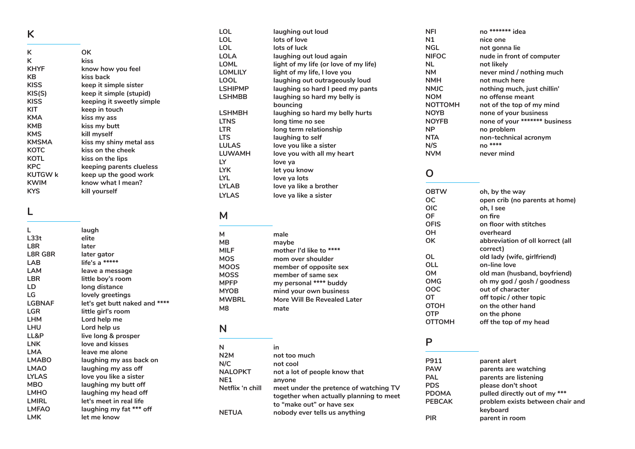| К                |                           |
|------------------|---------------------------|
| ĸ                | OΚ                        |
| ĸ                | kiss                      |
| <b>KHYF</b>      | know how you feel         |
| КB               | kiss back                 |
| <b>KISS</b>      | keep it simple sister     |
| KIS(S)           | keep it simple (stupid)   |
| <b>KISS</b>      | keeping it sweetly simple |
| KIT              | keep in touch             |
| KMA              | kiss my ass               |
| <b>KMB</b>       | kiss my butt              |
| <b>KMS</b>       | kill myself               |
| <b>KMSMA</b>     | kiss my shiny metal ass   |
| <b>KOTC</b>      | kiss on the cheek         |
| KOTL             | kiss on the lips          |
| <b>KPC</b>       | keeping parents clueless  |
| <b>KUTGW k</b>   | keep up the good work     |
| <b>KWIM</b>      | know what I mean?         |
| <b>KYS</b>       | kill yourself             |
|                  |                           |
|                  | laugh                     |
| L <sub>33t</sub> | elite                     |

| <b>LOMLILY</b>   | light of my life, I love you     |
|------------------|----------------------------------|
| <b>LOOL</b>      | laughing out outrageously loud   |
| <b>LSHIPMP</b>   | laughing so hard I peed my pants |
| <b>LSHMBB</b>    | laughing so hard my belly is     |
|                  | bouncing                         |
| <b>LSHMBH</b>    | laughing so hard my belly hurts  |
| <b>LTNS</b>      | long time no see                 |
| <b>LTR</b>       | long term relationship           |
| <b>LTS</b>       | laughing to self                 |
| <b>LULAS</b>     | love you like a sister           |
| <b>LUWAMH</b>    | love you with all my heart       |
| LY               | love ya                          |
| <b>LYK</b>       | let you know                     |
| <b>LYL</b>       | love ya lots                     |
| <b>LYLAB</b>     | love ya like a brother           |
| <b>LYLAS</b>     | love ya like a sister            |
| M                |                                  |
| м                |                                  |
| <b>MB</b>        | male                             |
| <b>MILF</b>      | maybe<br>mother I'd like to **** |
| <b>MOS</b>       | mom over shoulder                |
| <b>MOOS</b>      | member of opposite sex           |
| <b>MOSS</b>      | member of same sex               |
| <b>MPFP</b>      | my personal **** buddy           |
| <b>MYOB</b>      | mind your own business           |
| <b>MWBRL</b>     | More Will Be Revealed Later      |
| M <sub>8</sub>   | mate                             |
|                  |                                  |
| N                |                                  |
| N                | in                               |
| N <sub>2</sub> M | not too much                     |

LOL laughing out loud<br>
LOL lots of love **LOL lots of love LOL** lots of luck<br> **LOLA** laughing ou

LOLA laughing out loud again<br>
LOML light of my life (or love o

**LOML** light of my life (or love of my life)<br>
LOMLILY light of my life, I love you

| in                                      |
|-----------------------------------------|
| not too much                            |
| not cool                                |
| not a lot of people know that           |
| anyone                                  |
| meet under the pretence of watching TV  |
| together when actually planning to meet |
| to "make out" or have sex               |
| nobody ever tells us anything           |
|                                         |

| NFI            | no ******* idea               |
|----------------|-------------------------------|
| N1             | nice one                      |
| NGL            | not gonna lie                 |
| <b>NIFOC</b>   | nude in front of computer     |
| <b>NL</b>      | not likely                    |
| NΜ             | never mind / nothing much     |
| NMH            | not much here                 |
| <b>NMJC</b>    | nothing much, just chillin'   |
| <b>NOM</b>     | no offense meant              |
| <b>NOTTOMH</b> | not of the top of my mind     |
| <b>NOYB</b>    | none of your business         |
| <b>NOYFB</b>   | none of your ******* business |
| ΝP             | no problem                    |
| NTA            | non-technical acronym         |
| N/S            | no ****                       |
| NVM            | never mind                    |
|                |                               |

# **O**

| OBTW        | oh, by the way                   |
|-------------|----------------------------------|
| ос          | open crib (no parents at home)   |
| OIC         | oh, I see                        |
| OF          | on fire                          |
| <b>OFIS</b> | on floor with stitches           |
| он          | overheard                        |
| ОΚ          | abbreviation of oll korrect (all |
|             | correct)                         |
| OL          | old lady (wife, girlfriend)      |
| OLL         | on-line love                     |
| OМ          | old man (husband, boyfriend)     |
| OMG         | oh my god / gosh / goodness      |
| ooc         | out of character                 |
| от          | off topic / other topic          |
| отон        | on the other hand                |
| OTP         | on the phone                     |
| оттомн      | off the top of my head           |
|             |                                  |

### **P**

| P911          | parent alert                     |
|---------------|----------------------------------|
| <b>PAW</b>    | parents are watching             |
| <b>PAL</b>    | parents are listening            |
| <b>PDS</b>    | please don't shoot               |
| <b>PDOMA</b>  | pulled directly out of my ***    |
| <b>PEBCAK</b> | problem exists between chair and |
|               | keyboard                         |
| PIR           | parent in room                   |
|               |                                  |

| L             | laugh                         |
|---------------|-------------------------------|
| L33t          | elite                         |
| L8R           | later                         |
| L8R G8R       | later gator                   |
| LAB           | life's a *****                |
| LAM           | leave a message               |
| LBR           | little boy's room             |
| LD            | long distance                 |
| LG            | lovely greetings              |
| <b>LGBNAF</b> | let's get butt naked and **** |
| LGR           | little girl's room            |
| LHM           | Lord help me                  |
| LHU           | Lord help us                  |
| LL&P          | live long & prosper           |
| LNK           | love and kisses               |
| LMA           | leave me alone                |
| LMABO         | laughing my ass back on       |
| LMAO          | laughing my ass off           |
| LYLAS         | love you like a sister        |
| MBO           | laughing my butt off          |
| <b>LMHO</b>   | laughing my head off          |
| LMIRL         | let's meet in real life       |
| <b>LMFAO</b>  | laughing my fat *** off       |
| LMK           | let me know                   |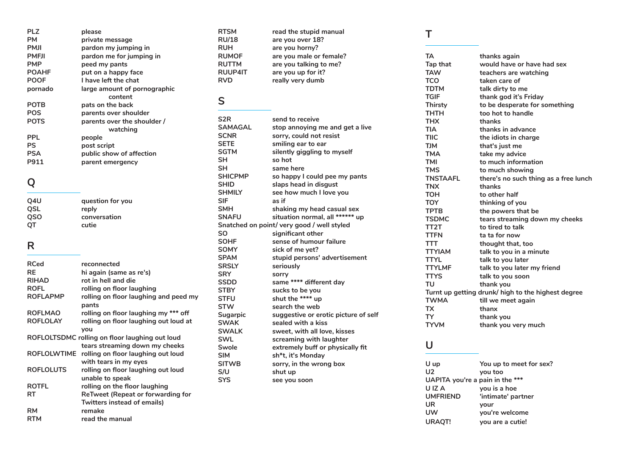| <b>PLZ</b>              | please                                         |
|-------------------------|------------------------------------------------|
| <b>PM</b>               | private message                                |
| <b>PMJI</b>             | pardon my jumping in                           |
| <b>PMFJI</b>            | pardon me for jumping in                       |
| <b>PMP</b>              | peed my pants                                  |
| <b>POAHF</b>            | put on a happy face                            |
| <b>POOF</b>             | I have left the chat                           |
| pornado                 | large amount of pornographic                   |
|                         | content                                        |
| <b>POTB</b>             | pats on the back                               |
| <b>POS</b>              | parents over shoulder                          |
| <b>POTS</b>             | parents over the shoulder /                    |
|                         | watching                                       |
| <b>PPL</b>              | people                                         |
| PS                      | post script                                    |
| <b>PSA</b>              | public show of affection                       |
| P911                    | parent emergency                               |
|                         |                                                |
|                         |                                                |
| $\overline{\mathsf{Q}}$ |                                                |
|                         |                                                |
| Q4U                     | question for you                               |
| QSL                     | reply                                          |
| <b>QSO</b>              | conversation                                   |
| QT                      | cutie                                          |
|                         |                                                |
|                         |                                                |
| R                       |                                                |
|                         |                                                |
|                         |                                                |
| <b>RCed</b>             | reconnected                                    |
| RE                      | hi again (same as re's)                        |
| <b>RIHAD</b>            | rot in hell and die                            |
| <b>ROFL</b>             | rolling on floor laughing                      |
| <b>ROFLAPMP</b>         | rolling on floor laughing and peed my          |
|                         | pants                                          |
| <b>ROFLMAO</b>          | rolling on floor laughing my *** off           |
| <b>ROFLOLAY</b>         | rolling on floor laughing out loud at          |
|                         | you                                            |
|                         | ROFLOLTSDMC rolling on floor laughing out loud |
|                         | tears streaming down my cheeks                 |
| <b>ROFLOLWTIME</b>      | rolling on floor laughing out loud             |
|                         | with tears in my eyes                          |
| <b>ROFLOLUTS</b>        | rolling on floor laughing out loud             |
|                         | unable to speak                                |
| <b>ROTFL</b>            | rolling on the floor laughing                  |
| RT                      | <b>ReTweet (Repeat or forwarding for</b>       |
|                         | <b>Twitters instead of emails)</b>             |
| RM<br><b>RTM</b>        | remake<br>read the manual                      |

| <b>RTSM</b>    | read the stupid manual  |
|----------------|-------------------------|
| <b>RU/18</b>   | are you over 18?        |
| <b>RUH</b>     | are you horny?          |
| <b>RUMOF</b>   | are you male or female? |
| <b>RUTTM</b>   | are you talking to me?  |
| <b>RUUP4IT</b> | are you up for it?      |
| <b>RVD</b>     | really very dumb        |
|                |                         |

# **S**

| S <sub>2</sub> R<br>send to receive                     |  |
|---------------------------------------------------------|--|
| <b>SAMAGAL</b><br>stop annoying me and get a live       |  |
| <b>SCNR</b><br>sorry, could not resist                  |  |
| <b>SETE</b>                                             |  |
| smiling ear to ear                                      |  |
| <b>SGTM</b><br>silently giggling to myself              |  |
| <b>SH</b><br>so hot                                     |  |
| SH<br>same here                                         |  |
| <b>SHICPMP</b><br>so happy I could pee my pants         |  |
| slaps head in disgust<br><b>SHID</b>                    |  |
| <b>SHMILY</b><br>see how much I love you                |  |
| <b>SIF</b><br>as if                                     |  |
| <b>SMH</b><br>shaking my head casual sex                |  |
| situation normal, all ****** up<br><b>SNAFU</b>         |  |
| Snatched on point/ very good / well styled              |  |
| SΟ<br>significant other                                 |  |
| <b>SOHF</b><br>sense of humour failure                  |  |
| <b>SOMY</b><br>sick of me yet?                          |  |
| <b>SPAM</b><br>stupid persons' advertisement            |  |
| <b>SRSLY</b><br>seriously                               |  |
| <b>SRY</b><br>sorry                                     |  |
| same **** different day<br><b>SSDD</b>                  |  |
| <b>STBY</b><br>sucks to be you                          |  |
| shut the **** up<br><b>STFU</b>                         |  |
| <b>STW</b><br>search the web                            |  |
| <b>Sugarpic</b><br>suggestive or erotic picture of self |  |
| <b>SWAK</b><br>sealed with a kiss                       |  |
| <b>SWALK</b><br>sweet, with all love, kisses            |  |
| <b>SWL</b><br>screaming with laughter                   |  |
| extremely buff or physically fit<br>Swole               |  |
| sh*t, it's Monday<br><b>SIM</b>                         |  |
| <b>SITWB</b><br>sorry, in the wrong box                 |  |
| S/U<br>shut up                                          |  |
| <b>SYS</b><br>see you soon                              |  |

## **T**

| <b>TA</b>         | thanks again                                       |
|-------------------|----------------------------------------------------|
| Tap that          | would have or have had sex                         |
| <b>TAW</b>        | teachers are watching                              |
| <b>TCO</b>        | taken care of                                      |
| <b>TDTM</b>       | talk dirty to me                                   |
| <b>TGIF</b>       | thank god it's Friday                              |
| <b>Thirsty</b>    | to be desperate for something                      |
| <b>THTH</b>       | too hot to handle                                  |
| <b>THX</b>        | thanks                                             |
| TIA               | thanks in advance                                  |
| <b>TIIC</b>       | the idiots in charge                               |
| <b>TJM</b>        | that's just me                                     |
| <b>TMA</b>        | take my advice                                     |
| <b>TMI</b>        | to much information                                |
| <b>TMS</b>        | to much showing                                    |
| <b>TNSTAAFL</b>   | there's no such thing as a free lunch              |
| <b>TNX</b>        | thanks                                             |
| <b>TOH</b>        | to other half                                      |
| <b>TOY</b>        | thinking of you                                    |
| <b>TPTB</b>       | the powers that be                                 |
| <b>TSDMC</b>      | tears streaming down my cheeks                     |
| TT <sub>2</sub> T | to tired to talk                                   |
| <b>TTFN</b>       | ta ta for now                                      |
| <b>TTT</b>        | thought that, too                                  |
| <b>TTYIAM</b>     | talk to you in a minute                            |
| <b>TTYL</b>       | talk to you later                                  |
| <b>TTYLMF</b>     | talk to you later my friend                        |
| <b>TTYS</b>       | talk to you soon                                   |
| TU                | thank you                                          |
|                   | Turnt up getting drunk/ high to the highest degree |
| <b>TWMA</b>       | till we meet again                                 |
| <b>TX</b>         | thanx                                              |
| <b>TY</b>         | thank you                                          |
| <b>TYVM</b>       | thank you very much                                |

## **U**

| U up                            | You up to meet for sex? |
|---------------------------------|-------------------------|
| U <sub>2</sub>                  | you too                 |
| UAPITA you're a pain in the *** |                         |
| U IZ A                          | you is a hoe            |
| <b>UMFRIEND</b>                 | 'intimate' partner      |
| UR                              | your                    |
| UW                              | you're welcome          |
| URAOT!                          | you are a cutie!        |